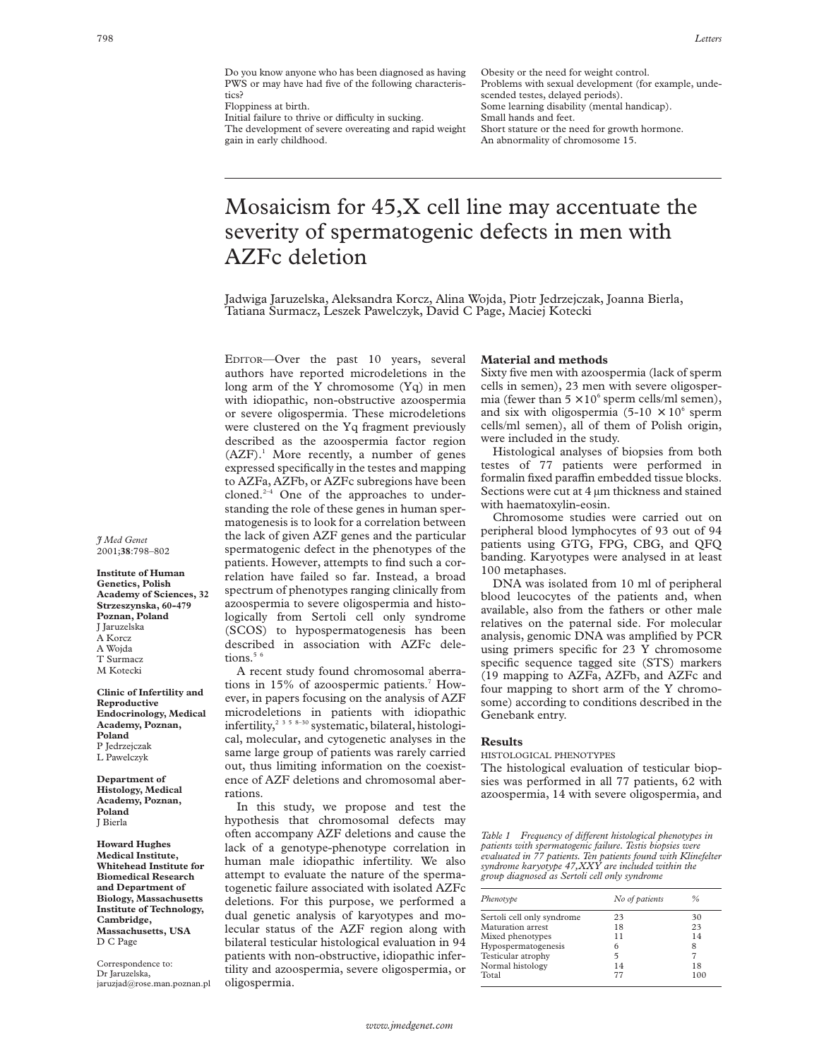Do you know anyone who has been diagnosed as having PWS or may have had five of the following characteristics?

Floppiness at birth.

Initial failure to thrive or difficulty in sucking. The development of severe overeating and rapid weight gain in early childhood.

Obesity or the need for weight control. Problems with sexual development (for example, undescended testes, delayed periods). Some learning disability (mental handicap). Small hands and feet. Short stature or the need for growth hormone. An abnormality of chromosome 15.

# Mosaicism for 45,X cell line may accentuate the severity of spermatogenic defects in men with AZFc deletion

Jadwiga Jaruzelska, Aleksandra Korcz, Alina Wojda, Piotr Jedrzejczak, Joanna Bierla, Tatiana Surmacz, Leszek Pawelczyk, David C Page, Maciej Kotecki

EDITOR—Over the past 10 years, several authors have reported microdeletions in the long arm of the Y chromosome (Yq) in men with idiopathic, non-obstructive azoospermia or severe oligospermia. These microdeletions were clustered on the Yq fragment previously described as the azoospermia factor region  $(AZF).<sup>1</sup>$  More recently, a number of genes expressed specifically in the testes and mapping to AZFa, AZFb, or AZFc subregions have been cloned.2–4 One of the approaches to understanding the role of these genes in human spermatogenesis is to look for a correlation between the lack of given AZF genes and the particular spermatogenic defect in the phenotypes of the patients. However, attempts to find such a correlation have failed so far. Instead, a broad spectrum of phenotypes ranging clinically from azoospermia to severe oligospermia and histologically from Sertoli cell only syndrome (SCOS) to hypospermatogenesis has been described in association with AZFc deletions. $5<sup>6</sup>$ 

A recent study found chromosomal aberrations in 15% of azoospermic patients.<sup>7</sup> However, in papers focusing on the analysis of AZF microdeletions in patients with idiopathic infertility,<sup>2 3 5 8–30</sup> systematic, bilateral, histological, molecular, and cytogenetic analyses in the same large group of patients was rarely carried out, thus limiting information on the coexistence of AZF deletions and chromosomal aberrations.

In this study, we propose and test the hypothesis that chromosomal defects may often accompany AZF deletions and cause the lack of a genotype-phenotype correlation in human male idiopathic infertility. We also attempt to evaluate the nature of the spermatogenetic failure associated with isolated AZFc deletions. For this purpose, we performed a dual genetic analysis of karyotypes and molecular status of the AZF region along with bilateral testicular histological evaluation in 94 patients with non-obstructive, idiopathic infertility and azoospermia, severe oligospermia, or oligospermia.

## **Material and methods**

Sixty five men with azoospermia (lack of sperm cells in semen), 23 men with severe oligospermia (fewer than  $5 \times 10^6$  sperm cells/ml semen), and six with oligospermia (5-10  $\times$  10<sup>6</sup> sperm cells/ml semen), all of them of Polish origin, were included in the study.

Histological analyses of biopsies from both testes of 77 patients were performed in formalin fixed paraffin embedded tissue blocks. Sections were cut at 4  $\mu$ m thickness and stained with haematoxylin-eosin.

Chromosome studies were carried out on peripheral blood lymphocytes of 93 out of 94 patients using GTG, FPG, CBG, and QFQ banding. Karyotypes were analysed in at least 100 metaphases.

DNA was isolated from 10 ml of peripheral blood leucocytes of the patients and, when available, also from the fathers or other male relatives on the paternal side. For molecular analysis, genomic DNA was amplified by PCR using primers specific for 23 Y chromosome specific sequence tagged site (STS) markers (19 mapping to AZFa, AZFb, and AZFc and four mapping to short arm of the Y chromosome) according to conditions described in the Genebank entry.

## **Results**

HISTOLOGICAL PHENOTYPES

The histological evaluation of testicular biopsies was performed in all 77 patients, 62 with azoospermia, 14 with severe oligospermia, and

*Table 1* Frequency of different histological phenotypes in *patients with spermatogenic failure. Testis biopsies were evaluated in 77 patients. Ten patients found with Klinefelter syndrome karyotype 47,XXY are included within the group diagnosed as Sertoli cell only syndrome*

| Phenotype                  | No of patients | %   |
|----------------------------|----------------|-----|
| Sertoli cell only syndrome | 23             | 30  |
| Maturation arrest          | 18             | 23  |
| Mixed phenotypes           | 11             | 14  |
| Hypospermatogenesis        | 6              | 8   |
| Testicular atrophy         | 5              |     |
| Normal histology           | 14             | 18  |
| Total                      | 77             | 100 |

*J Med Genet* 2001;**38**:798–802

**Institute of Human Genetics, Polish Academy of Sciences, 32 Strzeszynska, 60-479 Poznan, Poland** J Jaruzelska A Korcz A Wojda T Surmacz M Kotecki

**Clinic of Infertility and Reproductive Endocrinology, Medical Academy, Poznan, Poland** P Jedrzejczak L Pawelczyk

**Department of Histology, Medical Academy, Poznan, Poland** J Bierla

**Howard Hughes Medical Institute, Whitehead Institute for Biomedical Research and Department of Biology, Massachusetts Institute of Technology, Cambridge, Massachusetts, USA** D C Page

Correspondence to: Dr Jaruzelska, jaruzjad@rose.man.poznan.pl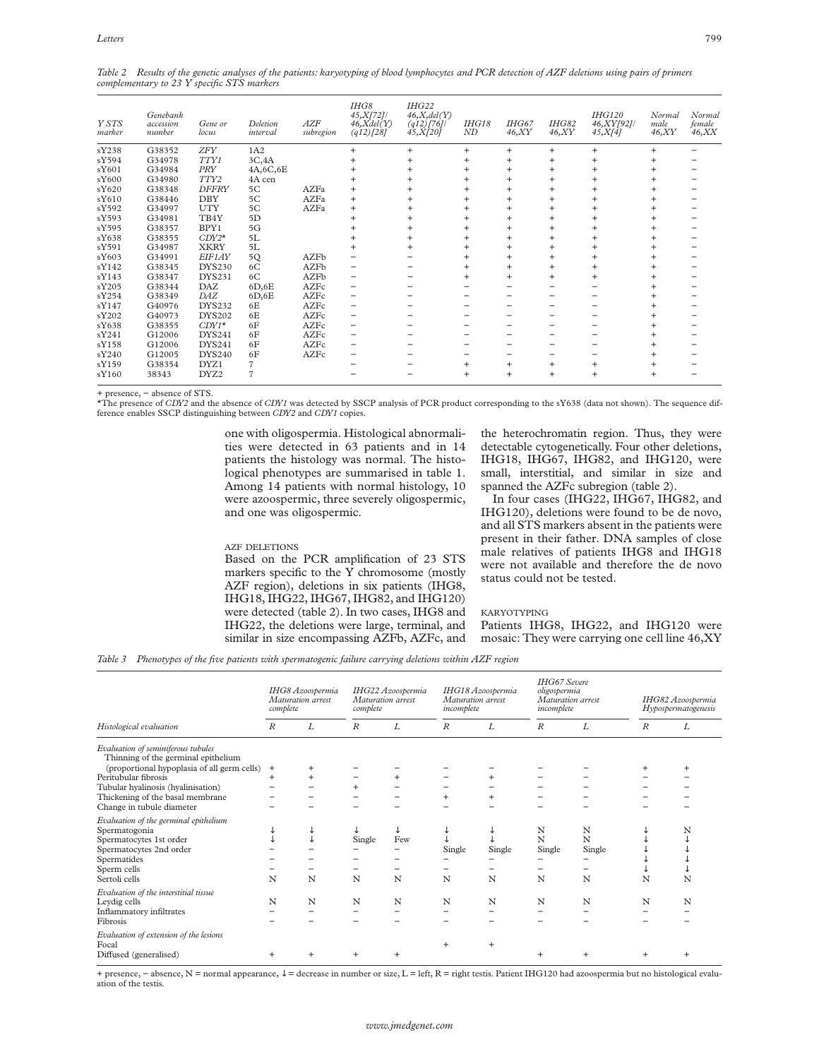*Table 2 Results of the genetic analyses of the patients: karyotyping of blood lymphocytes and PCR detection of AZF deletions using pairs of primers complementary to 23 Y specific STS markers*

| Y STS<br>marker | Genebank<br>accession<br>number | Gene or<br>locus | Deletion<br>interval | AZF<br>subregion | IHG8<br>45, X[72]/<br>$46$ , $Xdel(Y)$<br>$(q12)$ [28] | IHG22<br>46, X, del(Y)<br>(q12)/76<br>45, X[20] | IHG18<br>ND     | IHG67<br>46, XY | <b>IHG82</b><br>46, XY | <b>IHG120</b><br>46,XY[92]/<br>45, X[4] | Normal<br>male<br>46, XY | Normal<br>female<br>46, XX |
|-----------------|---------------------------------|------------------|----------------------|------------------|--------------------------------------------------------|-------------------------------------------------|-----------------|-----------------|------------------------|-----------------------------------------|--------------------------|----------------------------|
| sY238           | G38352                          | <b>ZFY</b>       | 1A2                  |                  | $^{+}$                                                 | $^{+}$                                          | $\ddot{}$       | $\ddot{}$       | $\ddot{}$              | $\ddot{}$                               | $\ddot{}$                |                            |
| sY594           | G34978                          | TTY1             | 3C,4A                |                  |                                                        | $\ddot{}$                                       | $^{+}$          | $^{+}$          | $^{\mathrm{+}}$        | $\overline{+}$                          |                          |                            |
| sY601           | G34984                          | <b>PRY</b>       | 4A,6C,6E             |                  |                                                        |                                                 | $\overline{+}$  | $\ddot{}$       |                        |                                         |                          |                            |
| sY600           | G34980                          | TTY2             | 4A cen               |                  | $^{+}$                                                 |                                                 | $^{\mathrm{+}}$ | $\ddot{}$       |                        | $\overline{+}$                          |                          |                            |
| sY620           | G38348                          | <b>DFFRY</b>     | 5C                   | AZFa             | $\ddot{}$                                              |                                                 |                 | $\ddot{}$       |                        | $\ddot{}$                               |                          |                            |
| sY610           | G38446                          | DBY              | 5C                   | AZFa             | $\ddot{}$                                              | $\ddot{}$                                       | $\ddot{}$       | $\ddot{}$       | $^{\mathrm{+}}$        | $\overline{+}$                          |                          |                            |
| sY592           | G34997                          | <b>UTY</b>       | 5C                   | AZFa             | $\ddot{}$                                              | $\ddot{}$                                       | $\ddot{}$       | $\ddot{}$       |                        | $\overline{ }$                          |                          |                            |
| sY593           | G34981                          | TB4Y             | 5D                   |                  |                                                        |                                                 | $\pm$           | $\ddot{}$       |                        |                                         |                          |                            |
| sY595           | G38357                          | BPY1             | 5G                   |                  |                                                        |                                                 | $\ddot{}$       | $^{+}$          |                        |                                         |                          |                            |
| sY638           | G38355                          | $CDY2*$          | 5L                   |                  |                                                        | $^{+}$                                          | $\div$          | $\ddot{}$       |                        |                                         |                          |                            |
| sY591           | G34987                          | <b>XKRY</b>      | 5L                   |                  |                                                        |                                                 | $\overline{+}$  | $\ddot{}$       |                        |                                         |                          |                            |
| sY603           | G34991                          | EIF1AY           | 5Q                   | AZFb             |                                                        |                                                 |                 |                 |                        |                                         |                          |                            |
| sY142           | G38345                          | <b>DYS230</b>    | 6C                   | AZFb             |                                                        |                                                 | $^{+}$          | $\ddot{}$       |                        |                                         |                          |                            |
| sY143           | G38347                          | <b>DYS231</b>    | 6C                   | AZFb             |                                                        |                                                 | $\ddot{}$       | $\ddot{}$       |                        |                                         |                          |                            |
| sY205           | G38344                          | DAZ              | 6D,6E                | AZFc             |                                                        |                                                 |                 |                 |                        |                                         |                          |                            |
| sY254           | G38349                          | DAZ              | 6D,6E                | AZFc             |                                                        |                                                 |                 |                 |                        |                                         |                          |                            |
| sY147           | G40976                          | <b>DYS232</b>    | 6E                   | AZFc             |                                                        |                                                 |                 |                 |                        |                                         |                          |                            |
| sY202           | G40973                          | <b>DYS202</b>    | 6E                   | AZFc             |                                                        |                                                 |                 |                 |                        |                                         |                          |                            |
| sY638           | G38355                          | $CDY1*$          | 6F                   | AZFc             |                                                        |                                                 |                 |                 |                        |                                         |                          |                            |
| sY241           | G12006                          | <b>DYS241</b>    | 6F                   | AZFc             |                                                        |                                                 |                 |                 |                        |                                         |                          |                            |
| sY158           | G12006                          | <b>DYS241</b>    | 6F                   | AZFc             |                                                        |                                                 |                 |                 |                        |                                         |                          |                            |
| sY240           | G12005                          | <b>DYS240</b>    | 6F                   | AZFc             |                                                        |                                                 |                 |                 |                        |                                         |                          |                            |
| sY159           | G38354                          | DYZ1             |                      |                  |                                                        |                                                 | $\ddot{}$       | $\ddot{}$       |                        | $\overline{ }$                          |                          |                            |
| sY160           | 38343                           | DYZ <sub>2</sub> | 7                    |                  |                                                        |                                                 | $^{+}$          | $\ddot{}$       | $\overline{+}$         | $\overline{ }$                          |                          |                            |

+ presence, − absence of STS.

\*The presence of *CDY2* and the absence of *CDY1* was detected by SSCP analysis of PCR product corresponding to the sY638 (data not shown). The sequence difference enables SSCP distinguishing between *CDY2* and *CDY1* copies.

> one with oligospermia. Histological abnormalities were detected in 63 patients and in 14 patients the histology was normal. The histological phenotypes are summarised in table 1. Among 14 patients with normal histology, 10 were azoospermic, three severely oligospermic, and one was oligospermic.

#### AZF DELETIONS

Based on the PCR amplification of 23 STS markers specific to the  $\overline{Y}$  chromosome (mostly AZF region), deletions in six patients (IHG8, IHG18, IHG22, IHG67, IHG82, and IHG120) were detected (table 2). In two cases, IHG8 and IHG22, the deletions were large, terminal, and similar in size encompassing AZFb, AZFc, and

the heterochromatin region. Thus, they were detectable cytogenetically. Four other deletions, IHG18, IHG67, IHG82, and IHG120, were small, interstitial, and similar in size and spanned the AZFc subregion (table 2).

In four cases (IHG22, IHG67, IHG82, and IHG120), deletions were found to be de novo, and all STS markers absent in the patients were present in their father. DNA samples of close male relatives of patients IHG8 and IHG18 were not available and therefore the de novo status could not be tested.

#### **KARYOTYPING**

Patients IHG8, IHG22, and IHG120 were mosaic: They were carrying one cell line 46,XY

*Table 3 Phenotypes of the five patients with spermatogenic failure carrying deletions within AZF region*

|                                                                           | IHG8 Azoospermia<br>Maturation arrest<br>complete |           | IHG22 Azoospermia<br>Maturation arrest<br>complete |           | IHG18 Azoospermia<br>Maturation arrest<br>incomplete |           | <b>IHG67</b> Severe<br>oligospermia<br>Maturation arrest<br>incomplete |           | IHG82 Azoospermia<br>Hypospermatogenesis |           |
|---------------------------------------------------------------------------|---------------------------------------------------|-----------|----------------------------------------------------|-----------|------------------------------------------------------|-----------|------------------------------------------------------------------------|-----------|------------------------------------------|-----------|
| Histological evaluation                                                   | $\boldsymbol{R}$                                  | L         | $\boldsymbol{R}$                                   | L         | $\boldsymbol{R}$                                     | L         | $\boldsymbol{R}$                                                       | L         | R                                        | L         |
| Evaluation of seminiferous tubules<br>Thinning of the germinal epithelium |                                                   |           |                                                    |           |                                                      |           |                                                                        |           |                                          |           |
| (proportional hypoplasia of all germ cells)                               | $^{+}$                                            |           |                                                    |           |                                                      |           |                                                                        |           |                                          | $\div$    |
| Peritubular fibrosis                                                      | $\ddot{}$                                         | $\ddot{}$ |                                                    | $\ddot{}$ |                                                      | $\ddot{}$ |                                                                        |           |                                          |           |
| Tubular hyalinosis (hyalinisation)                                        |                                                   |           | $\ddot{}$                                          |           |                                                      |           |                                                                        |           |                                          |           |
| Thickening of the basal membrane                                          |                                                   |           |                                                    |           |                                                      | $\ddot{}$ |                                                                        |           |                                          |           |
| Change in tubule diameter                                                 |                                                   |           |                                                    |           |                                                      |           |                                                                        |           |                                          |           |
| Evaluation of the germinal epithelium                                     |                                                   |           |                                                    |           |                                                      |           |                                                                        |           |                                          |           |
| Spermatogonia                                                             |                                                   |           |                                                    |           |                                                      |           | N                                                                      | N         |                                          | N         |
| Spermatocytes 1st order                                                   |                                                   |           | Single                                             | Few       |                                                      |           | N                                                                      | N         |                                          |           |
| Spermatocytes 2nd order                                                   |                                                   |           |                                                    |           | Single                                               | Single    | Single                                                                 | Single    |                                          |           |
| Spermatides                                                               |                                                   |           |                                                    |           |                                                      |           |                                                                        |           |                                          |           |
| Sperm cells                                                               |                                                   |           |                                                    |           |                                                      |           |                                                                        |           |                                          |           |
| Sertoli cells                                                             | N                                                 | N         | N                                                  | N         | N                                                    | N         | N                                                                      | N         | N                                        | N         |
| Evaluation of the interstitial tissue                                     |                                                   |           |                                                    |           |                                                      |           |                                                                        |           |                                          |           |
| Leydig cells                                                              | N                                                 | N         | N                                                  | N         | N                                                    | N         | N                                                                      | N         | N                                        | N         |
| Inflammatory infiltrates                                                  |                                                   |           |                                                    |           |                                                      |           |                                                                        |           |                                          |           |
| Fibrosis                                                                  |                                                   |           |                                                    |           |                                                      |           |                                                                        |           |                                          |           |
|                                                                           |                                                   |           |                                                    |           |                                                      |           |                                                                        |           |                                          |           |
| Evaluation of extension of the lesions                                    |                                                   |           |                                                    |           |                                                      |           |                                                                        |           |                                          |           |
| Focal                                                                     |                                                   |           |                                                    |           |                                                      | $\ddot{}$ |                                                                        |           |                                          |           |
| Diffused (generalised)                                                    | $\ddot{}$                                         |           |                                                    |           |                                                      |           | $\overline{+}$                                                         | $\ddot{}$ | $\ddot{}$                                | $\ddot{}$ |

+ presence, − absence, N = normal appearance, ↓ = decrease in number or size, L = left, R = right testis. Patient IHG120 had azoospermia but no histological evaluation of the testis.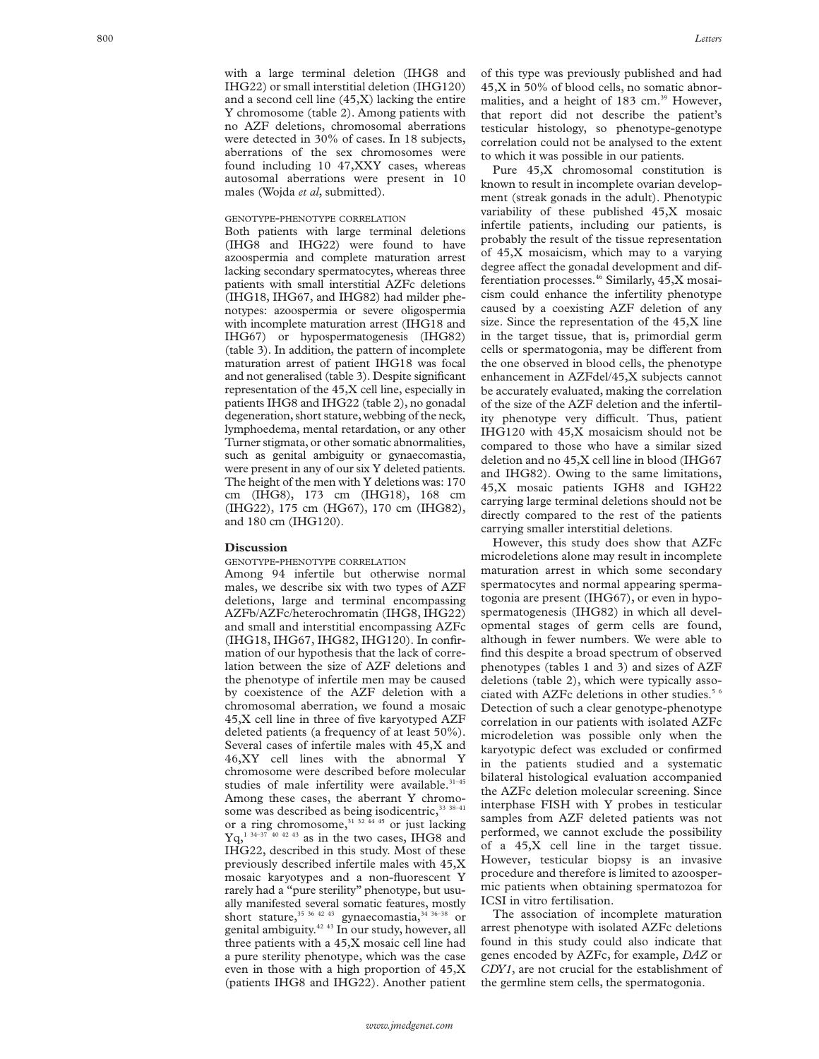with a large terminal deletion (IHG8 and IHG22) or small interstitial deletion (IHG120) and a second cell line (45,X) lacking the entire Y chromosome (table 2). Among patients with no AZF deletions, chromosomal aberrations were detected in 30% of cases. In 18 subjects, aberrations of the sex chromosomes were found including 10 47,XXY cases, whereas autosomal aberrations were present in 10 males (Wojda *et al*, submitted).

# GENOTYPE -PHENOTYPE CORRELATION

Both patients with large terminal deletions (IHG8 and IHG22) were found to have azoospermia and complete maturation arrest lacking secondary spermatocytes, whereas three patients with small interstitial AZFc deletions (IHG18, IHG67, and IHG82) had milder phenotypes: azoospermia or severe oligospermia with incomplete maturation arrest (IHG18 and IHG67) or hypospermatogenesis (IHG82) (table 3). In addition, the pattern of incomplete maturation arrest of patient IHG18 was focal and not generalised (table 3). Despite significant representation of the 45,X cell line, especially in patients IHG8 and IHG22 (table 2), no gonadal degeneration, short stature, webbing of the neck, lymphoedema, mental retardation, or any other Turner stigmata, or other somatic abnormalities, such as genital ambiguity or gynaecomastia, were present in any of our six Y deleted patients. The height of the men with Y deletions was: 170 cm (IHG8), 173 cm (IHG18), 168 cm (IHG22), 175 cm (HG67), 170 cm (IHG82), and 180 cm (IHG120).

### **Discussion**

GENOTYPE -PHENOTYPE CORRELATION

Among 94 infertile but otherwise normal males, we describe six with two types of AZF deletions, large and terminal encompassing AZFb/AZFc/heterochromatin (IHG8, IHG22) and small and interstitial encompassing AZFc (IHG18, IHG67, IHG82, IHG120). In confirmation of our hypothesis that the lack of correlation between the size of AZF deletions and the phenotype of infertile men may be caused by coexistence of the AZF deletion with a chromosomal aberration, we found a mosaic 45,X cell line in three of five karyotyped AZF deleted patients (a frequency of at least 50%). Several cases of infertile males with 45,X and 46,XY cell lines with the abnormal Y chromosome were described before molecular studies of male infertility were available.<sup>31-45</sup> Among these cases, the aberrant Y chromosome was described as being isodicentric,<sup>33 38-41</sup> or a ring chromosome,<sup>31 32 44 45</sup> or just lacking  $Ya<sub>1</sub><sup>1 34–37 40 42 43</sup>$  as in the two cases, IHG8 and IHG22, described in this study. Most of these previously described infertile males with 45,X mosaic karyotypes and a non-fluorescent Y rarely had a "pure sterility" phenotype, but usually manifested several somatic features, mostly short stature,  $35\frac{36\frac{42}{43}}{9}$  gynaecomastia,  $34\frac{36-38}{9}$  or genital ambiguity.42 43 In our study, however, all three patients with a 45,X mosaic cell line had a pure sterility phenotype, which was the case even in those with a high proportion of 45,X (patients IHG8 and IHG22). Another patient of this type was previously published and had 45,X in 50% of blood cells, no somatic abnormalities, and a height of 183 cm.<sup>39</sup> However, that report did not describe the patient's testicular histology, so phenotype-genotype correlation could not be analysed to the extent to which it was possible in our patients.

Pure 45,X chromosomal constitution is known to result in incomplete ovarian development (streak gonads in the adult). Phenotypic variability of these published 45,X mosaic infertile patients, including our patients, is probably the result of the tissue representation of 45,X mosaicism, which may to a varying degree affect the gonadal development and differentiation processes.46 Similarly, 45,X mosaicism could enhance the infertility phenotype caused by a coexisting AZF deletion of any size. Since the representation of the 45,X line in the target tissue, that is, primordial germ cells or spermatogonia, may be different from the one observed in blood cells, the phenotype enhancement in AZFdel/45,X subjects cannot be accurately evaluated, making the correlation of the size of the AZF deletion and the infertility phenotype very difficult. Thus, patient IHG120 with 45,X mosaicism should not be compared to those who have a similar sized deletion and no 45,X cell line in blood (IHG67 and IHG82). Owing to the same limitations, 45,X mosaic patients IGH8 and IGH22 carrying large terminal deletions should not be directly compared to the rest of the patients carrying smaller interstitial deletions.

However, this study does show that AZFc microdeletions alone may result in incomplete maturation arrest in which some secondary spermatocytes and normal appearing spermatogonia are present (IHG67), or even in hypospermatogenesis (IHG82) in which all developmental stages of germ cells are found, although in fewer numbers. We were able to find this despite a broad spectrum of observed phenotypes (tables 1 and 3) and sizes of AZF deletions (table 2), which were typically associated with AZFc deletions in other studies.<sup>56</sup> Detection of such a clear genotype-phenotype correlation in our patients with isolated AZFc microdeletion was possible only when the karyotypic defect was excluded or confirmed in the patients studied and a systematic bilateral histological evaluation accompanied the AZFc deletion molecular screening. Since interphase FISH with Y probes in testicular samples from AZF deleted patients was not performed, we cannot exclude the possibility of a 45,X cell line in the target tissue. However, testicular biopsy is an invasive procedure and therefore is limited to azoospermic patients when obtaining spermatozoa for ICSI in vitro fertilisation.

The association of incomplete maturation arrest phenotype with isolated AZFc deletions found in this study could also indicate that genes encoded by AZFc, for example, *DAZ* or *CDY1*, are not crucial for the establishment of the germline stem cells, the spermatogonia.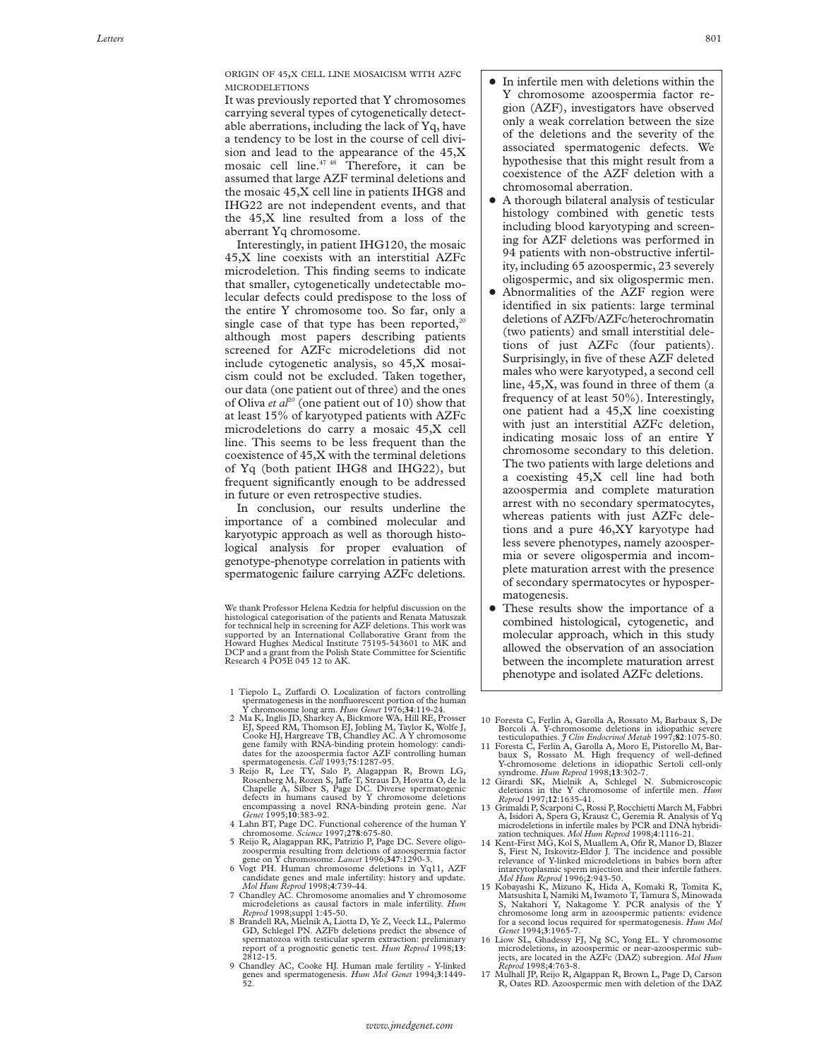ORIGIN OF 45,X CELL LINE MOSAICISM WITH AZFc MICRODELETIONS

It was previously reported that Y chromosomes carrying several types of cytogenetically detectable aberrations, including the lack of Yq, have a tendency to be lost in the course of cell division and lead to the appearance of the 45,X mosaic cell line. $4748$  Therefore, it can be assumed that large AZF terminal deletions and the mosaic 45,X cell line in patients IHG8 and IHG22 are not independent events, and that the 45,X line resulted from a loss of the aberrant Yq chromosome.

Interestingly, in patient IHG120, the mosaic 45,X line coexists with an interstitial AZFc microdeletion. This finding seems to indicate that smaller, cytogenetically undetectable molecular defects could predispose to the loss of the entire Y chromosome too. So far, only a single case of that type has been reported, $20$ although most papers describing patients screened for AZFc microdeletions did not include cytogenetic analysis, so 45,X mosaicism could not be excluded. Taken together, our data (one patient out of three) and the ones of Oliva *et al*<sup>20</sup> (one patient out of 10) show that at least 15% of karyotyped patients with AZFc microdeletions do carry a mosaic 45,X cell line. This seems to be less frequent than the coexistence of 45,X with the terminal deletions of Yq (both patient IHG8 and IHG22), but frequent significantly enough to be addressed in future or even retrospective studies.

In conclusion, our results underline the importance of a combined molecular and karyotypic approach as well as thorough histological analysis for proper evaluation of genotype-phenotype correlation in patients with spermatogenic failure carrying AZFc deletions.

We thank Professor Helena Kedzia for helpful discussion on the<br>histological categorisation of the patients and Renata Matuszak<br>for technical help in screening for AZF deletions. This work was<br>supported by an International Howard Hughes Medical Institute 75195-543601 to MK and DCP and a grant from the Polish State Committee for Scientific Research 4 PO5E 045 12 to AK.

- 1 Tiepolo L, Zuffardi O. Localization of factors controlling spermatogenesis in the nonfluorescent portion of the human Y chromosome long arm. *Hum Genet* 1976;**34**:119-24.
- 2 Ma K, Inglis JD, Sharkey A, Bickmore WA, Hill RE, Prosser EJ, Speed RM, Thomson EJ, Jobling M, Taylor K, Wolfe J, Cooke HJ, Hargreave TB, Chandley AC. A Y chromosome gene family with RNA-binding protein homology: candi-dates for the azoospermia factor AZF controlling human spermatogenesis. *Cell* 1993;**75**:1287-95.
- 3 Reijo R, Lee TY, Salo P, Alagappan R, Brown LG, Rosenberg M, Rozen S, Jaffe T, Straus D, Hovatta O, de la Chapelle A, Silber S, Page DC. Diverse spermatogenic defects in humans caused by Y chromosome deletions encompassing a novel RNA-binding protein gene. *Nat Genet* 1995;**10**:383-92.
- 4 Lahn BT, Page DC. Functional coherence of the human Y chromosome. *Science* 1997;**278**:675-80.
- 5 Reijo R, Alagappan RK, Patrizio P, Page DC. Severe oligo-zoospermia resulting from deletions of azoospermia factor gene on Y chromosome. *Lancet* 1996;**347**:1290-3.
- 6 Vogt PH. Human chromosome deletions in Yq11, AZF candidate genes and male infertility: history and update*. Mol Hum Reprod* 1998;**4**:739-44.
- 7 Chandley AC. Chromosome anomalies and Y chromosome microdeletions as causal factors in male infertility. *Hum Reprod* 1998;suppl 1:45-50. 8 Brandell RA, Mielnik A, Liotta D, Ye Z, Veeck LL, Palermo
- GD, Schlegel PN. AZFb deletions predict the absence of spermatozoa with testicular sperm extraction: preliminary report of a prognostic genetic test. *Hum Reprod* 1998;**13**: 2812-15.
- 9 Chandley AC, Cooke HJ. Human male fertility Y-linked genes and spermatogenesis. *Hum Mol Genet* 1994;**3**:1449- 52.
- $\bullet$  In infertile men with deletions within the Y chromosome azoospermia factor region (AZF), investigators have observed only a weak correlation between the size of the deletions and the severity of the associated spermatogenic defects. We hypothesise that this might result from a coexistence of the AZF deletion with a chromosomal aberration.
- + A thorough bilateral analysis of testicular histology combined with genetic tests including blood karyotyping and screening for AZF deletions was performed in 94 patients with non-obstructive infertility, including 65 azoospermic, 23 severely oligospermic, and six oligospermic men.
- + Abnormalities of the AZF region were identified in six patients: large terminal deletions of AZFb/AZFc/heterochromatin (two patients) and small interstitial deletions of just AZFc (four patients). Surprisingly, in five of these AZF deleted males who were karyotyped, a second cell line, 45,X, was found in three of them (a frequency of at least 50%). Interestingly, one patient had a 45,X line coexisting with just an interstitial AZFc deletion, indicating mosaic loss of an entire Y chromosome secondary to this deletion. The two patients with large deletions and a coexisting 45,X cell line had both azoospermia and complete maturation arrest with no secondary spermatocytes, whereas patients with just AZFc deletions and a pure 46,XY karyotype had less severe phenotypes, namely azoospermia or severe oligospermia and incomplete maturation arrest with the presence of secondary spermatocytes or hypospermatogenesis.
- These results show the importance of a combined histological, cytogenetic, and molecular approach, which in this study allowed the observation of an association between the incomplete maturation arrest phenotype and isolated AZFc deletions.
- 10 Foresta C, Ferlin A, Garolla A, Rossato M, Barbaux S, De Borcoli A. Y-chromosome deletions in idiopathic severe testiculopathies. *J Clin Endocrinol Metab* 1997;**82**:1075-80.
- 11 Foresta C, Ferlin A, Garolla A, Moro E, Pistorello M, Bar-baux S, Rossato M. High frequency of well-defined Y-chromosome deletions in idiopathic Sertoli cell-only syndrome. *Hum Reprod* 1998;**13**:302-7. 12 Girardi SK, Mielnik A, Schlegel N. Submicroscopic
- deletions in the Y chromosome of infertile men. *Hum Reprod* 1997;**12**:1635-41.
- 13 Grimaldi P, Scarponi C, Rossi P, Rocchietti March M, Fabbri A, Isidori A, Spera G, Krausz C, Geremia R. Analysis of Yq microdeletions in infertile males by PCR and DNA hybridization techniques. *Mol Hum Reprod* 1998;**4**:1116-21.
- 14 Kent-First MG, Kol S, Muallem A, Ofir R, Manor D, Blazer S, First N, Itskovitz-Eldor J. The incidence and possible relevance of Y-linked microdeletions in babies born after intarcytoplasmic sperm injection and their infertile fathers. *Mol Hum Reprod* 1996;**2**:943-50. 15 Kobayashi K, Mizuno K, Hida A, Komaki R, Tomita K,
- Matsushita I, Namiki M, Iwamoto T, Tamura S, Minowada S, Nakahori Y, Nakagome Y. PCR analysis of the Y chromosome long arm in azoospermic patients: evidence for a second locus required for spermatogenesis. *Hum Mol Genet* 1994;**3**:1965-7.
- 16 Liow SL, Ghadessy FJ, Ng SC, Yong EL. Y chromosome microdeletions, in azoospermic or near-azoospermic sub-jects, are located in the AZFc (DAZ) subregion. *Mol Hum Reprod* 1998;**4**:763-8. 17 Mulhall JP, Reijo R, Algappan R, Brown L, Page D, Carson
- R, Oates RD. Azoospermic men with deletion of the DAZ